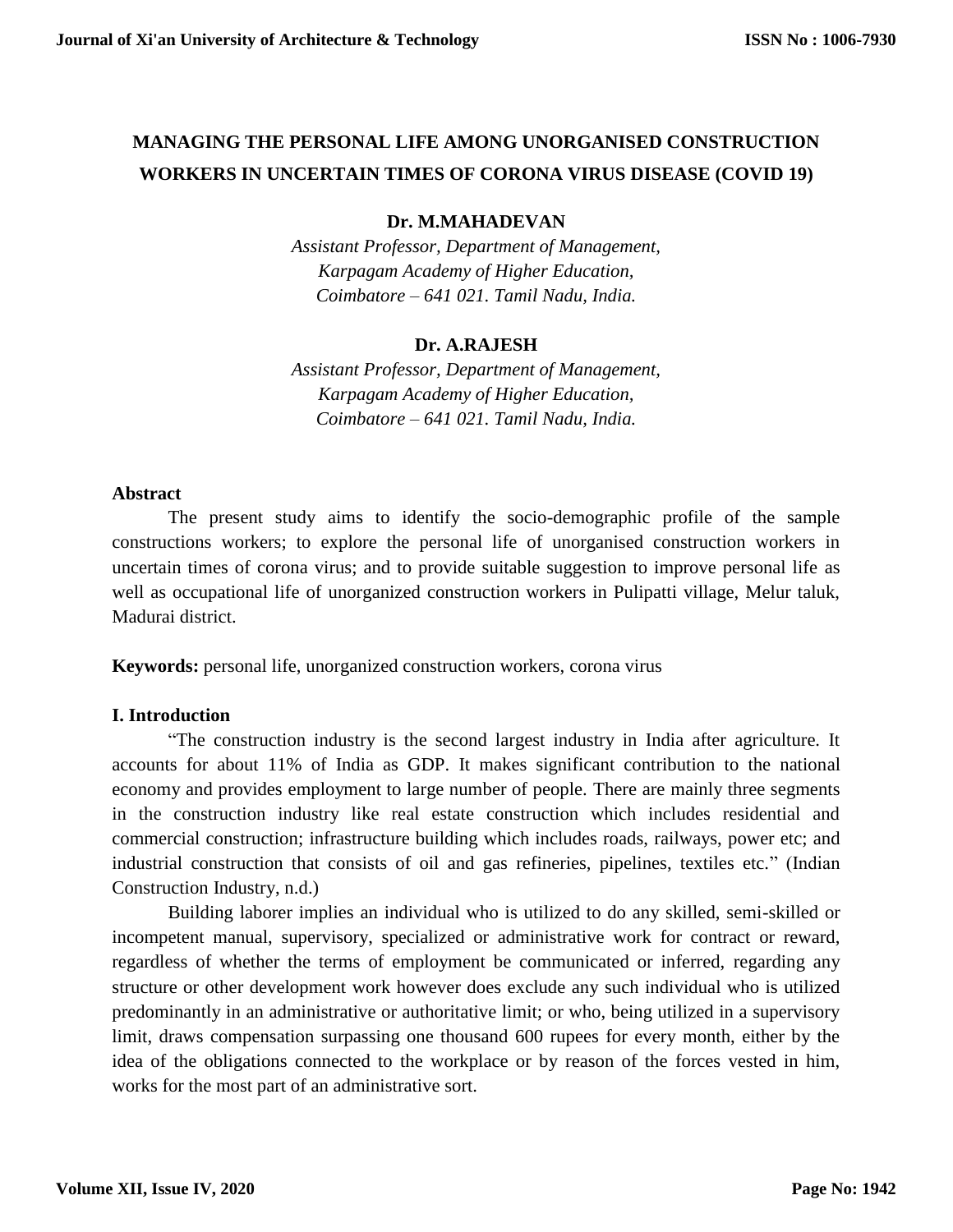## **MANAGING THE PERSONAL LIFE AMONG UNORGANISED CONSTRUCTION WORKERS IN UNCERTAIN TIMES OF CORONA VIRUS DISEASE (COVID 19)**

## **Dr. M.MAHADEVAN**

*Assistant Professor, Department of Management, Karpagam Academy of Higher Education, Coimbatore – 641 021. Tamil Nadu, India.*

## **Dr. A.RAJESH**

*Assistant Professor, Department of Management, Karpagam Academy of Higher Education, Coimbatore – 641 021. Tamil Nadu, India.*

### **Abstract**

The present study aims to identify the socio-demographic profile of the sample constructions workers; to explore the personal life of unorganised construction workers in uncertain times of corona virus; and to provide suitable suggestion to improve personal life as well as occupational life of unorganized construction workers in Pulipatti village, Melur taluk, Madurai district.

**Keywords:** personal life, unorganized construction workers, corona virus

## **I. Introduction**

"The construction industry is the second largest industry in India after agriculture. It accounts for about 11% of India as GDP. It makes significant contribution to the national economy and provides employment to large number of people. There are mainly three segments in the construction industry like real estate construction which includes residential and commercial construction; infrastructure building which includes roads, railways, power etc; and industrial construction that consists of oil and gas refineries, pipelines, textiles etc." (Indian Construction Industry, n.d.)

Building laborer implies an individual who is utilized to do any skilled, semi-skilled or incompetent manual, supervisory, specialized or administrative work for contract or reward, regardless of whether the terms of employment be communicated or inferred, regarding any structure or other development work however does exclude any such individual who is utilized predominantly in an administrative or authoritative limit; or who, being utilized in a supervisory limit, draws compensation surpassing one thousand 600 rupees for every month, either by the idea of the obligations connected to the workplace or by reason of the forces vested in him, works for the most part of an administrative sort.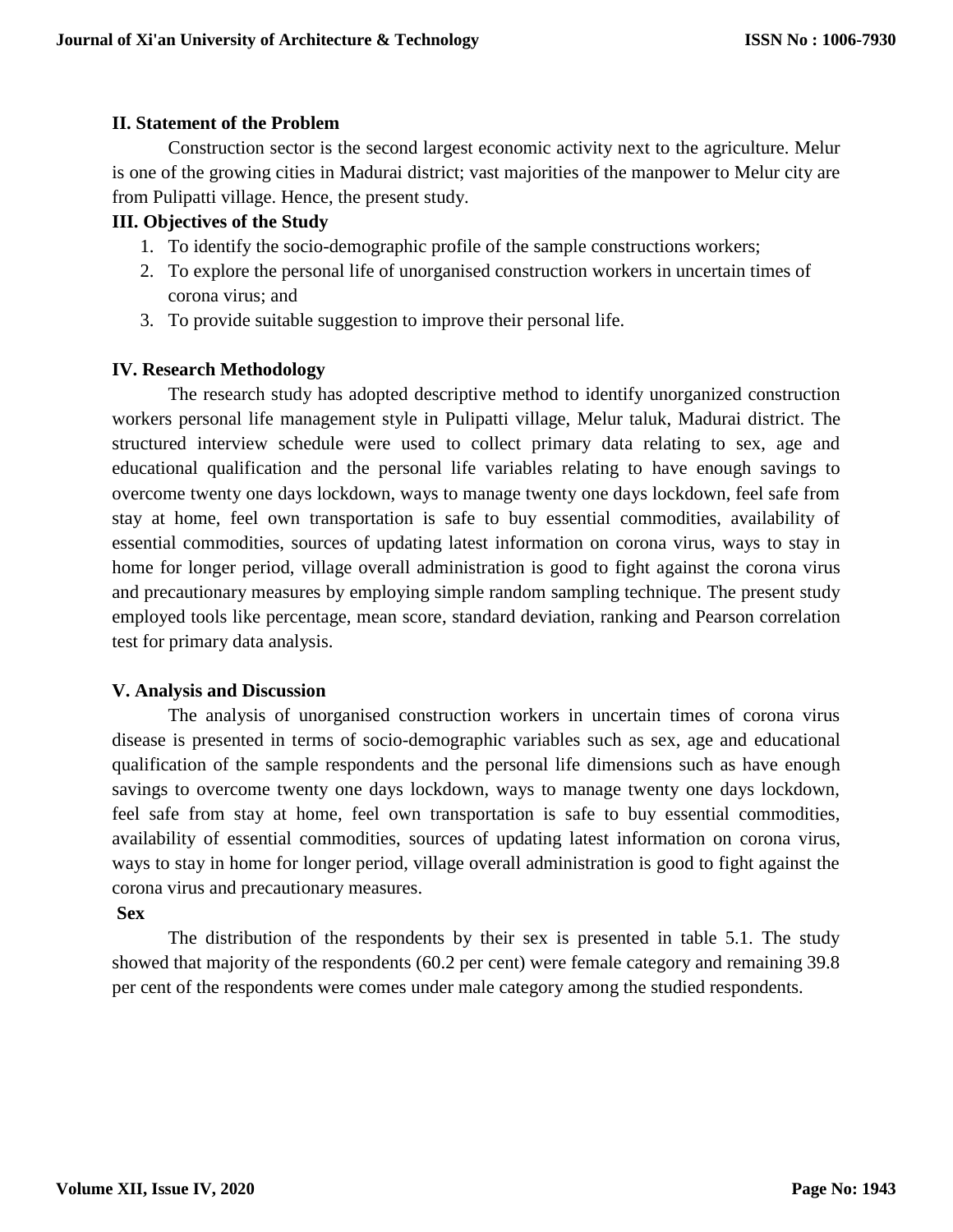## **II. Statement of the Problem**

Construction sector is the second largest economic activity next to the agriculture. Melur is one of the growing cities in Madurai district; vast majorities of the manpower to Melur city are from Pulipatti village. Hence, the present study.

## **III. Objectives of the Study**

- 1. To identify the socio-demographic profile of the sample constructions workers;
- 2. To explore the personal life of unorganised construction workers in uncertain times of corona virus; and
- 3. To provide suitable suggestion to improve their personal life.

## **IV. Research Methodology**

The research study has adopted descriptive method to identify unorganized construction workers personal life management style in Pulipatti village, Melur taluk, Madurai district. The structured interview schedule were used to collect primary data relating to sex, age and educational qualification and the personal life variables relating to have enough savings to overcome twenty one days lockdown, ways to manage twenty one days lockdown, feel safe from stay at home, feel own transportation is safe to buy essential commodities, availability of essential commodities, sources of updating latest information on corona virus, ways to stay in home for longer period, village overall administration is good to fight against the corona virus and precautionary measures by employing simple random sampling technique. The present study employed tools like percentage, mean score, standard deviation, ranking and Pearson correlation test for primary data analysis.

### **V. Analysis and Discussion**

The analysis of unorganised construction workers in uncertain times of corona virus disease is presented in terms of socio-demographic variables such as sex, age and educational qualification of the sample respondents and the personal life dimensions such as have enough savings to overcome twenty one days lockdown, ways to manage twenty one days lockdown, feel safe from stay at home, feel own transportation is safe to buy essential commodities, availability of essential commodities, sources of updating latest information on corona virus, ways to stay in home for longer period, village overall administration is good to fight against the corona virus and precautionary measures.

### **Sex**

The distribution of the respondents by their sex is presented in table 5.1. The study showed that majority of the respondents (60.2 per cent) were female category and remaining 39.8 per cent of the respondents were comes under male category among the studied respondents.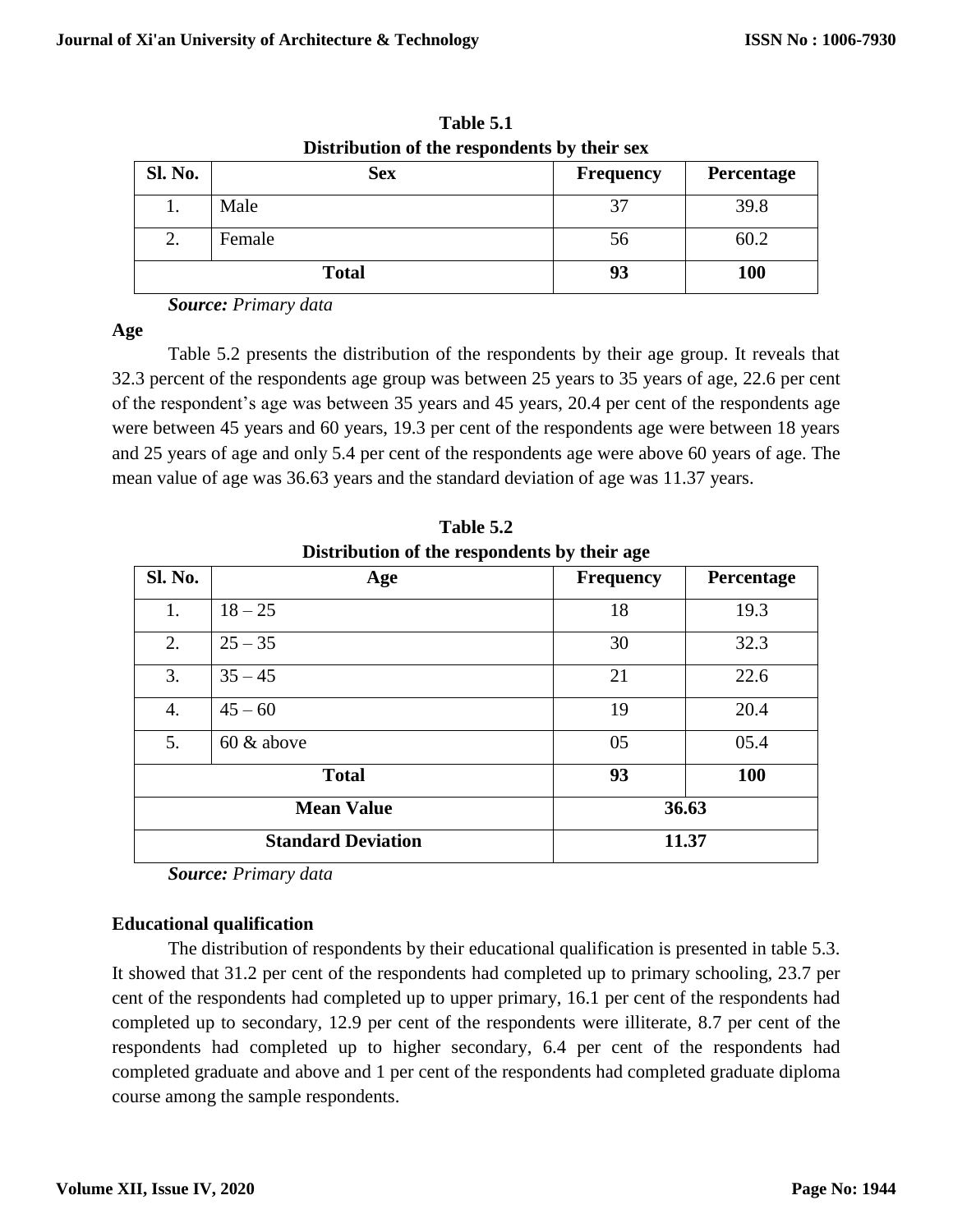| <b>Sl. No.</b> | <b>Sex</b>   | Frequency | Percentage |
|----------------|--------------|-----------|------------|
| ı.             | Male         | J         | 39.8       |
| 2.             | Female       | 56        | 60.2       |
|                | <b>Total</b> | 93        | <b>100</b> |

**Table 5.1 Distribution of the respondents by their sex**

**Age** 

Table 5.2 presents the distribution of the respondents by their age group. It reveals that 32.3 percent of the respondents age group was between 25 years to 35 years of age, 22.6 per cent of the respondent's age was between 35 years and 45 years, 20.4 per cent of the respondents age were between 45 years and 60 years, 19.3 per cent of the respondents age were between 18 years and 25 years of age and only 5.4 per cent of the respondents age were above 60 years of age. The mean value of age was 36.63 years and the standard deviation of age was 11.37 years.

| Distribution of the respondents by their age |                           |                  |            |
|----------------------------------------------|---------------------------|------------------|------------|
| Sl. No.                                      | Age                       | <b>Frequency</b> | Percentage |
| 1.                                           | $18 - 25$                 | 18               | 19.3       |
| 2.                                           | $25 - 35$                 | 30               | 32.3       |
| 3.                                           | $35 - 45$                 | 21               | 22.6       |
| 4.                                           | $45 - 60$                 | 19               | 20.4       |
| 5.                                           | $60 \&$ above             | 05               | 05.4       |
| 93<br><b>Total</b>                           |                           | <b>100</b>       |            |
|                                              | <b>Mean Value</b>         |                  | 36.63      |
|                                              | <b>Standard Deviation</b> |                  | 11.37      |

**Table 5.2 Distribution of the respondents by their age**

*Source: Primary data*

## **Educational qualification**

The distribution of respondents by their educational qualification is presented in table 5.3. It showed that 31.2 per cent of the respondents had completed up to primary schooling, 23.7 per cent of the respondents had completed up to upper primary, 16.1 per cent of the respondents had completed up to secondary, 12.9 per cent of the respondents were illiterate, 8.7 per cent of the respondents had completed up to higher secondary, 6.4 per cent of the respondents had completed graduate and above and 1 per cent of the respondents had completed graduate diploma course among the sample respondents.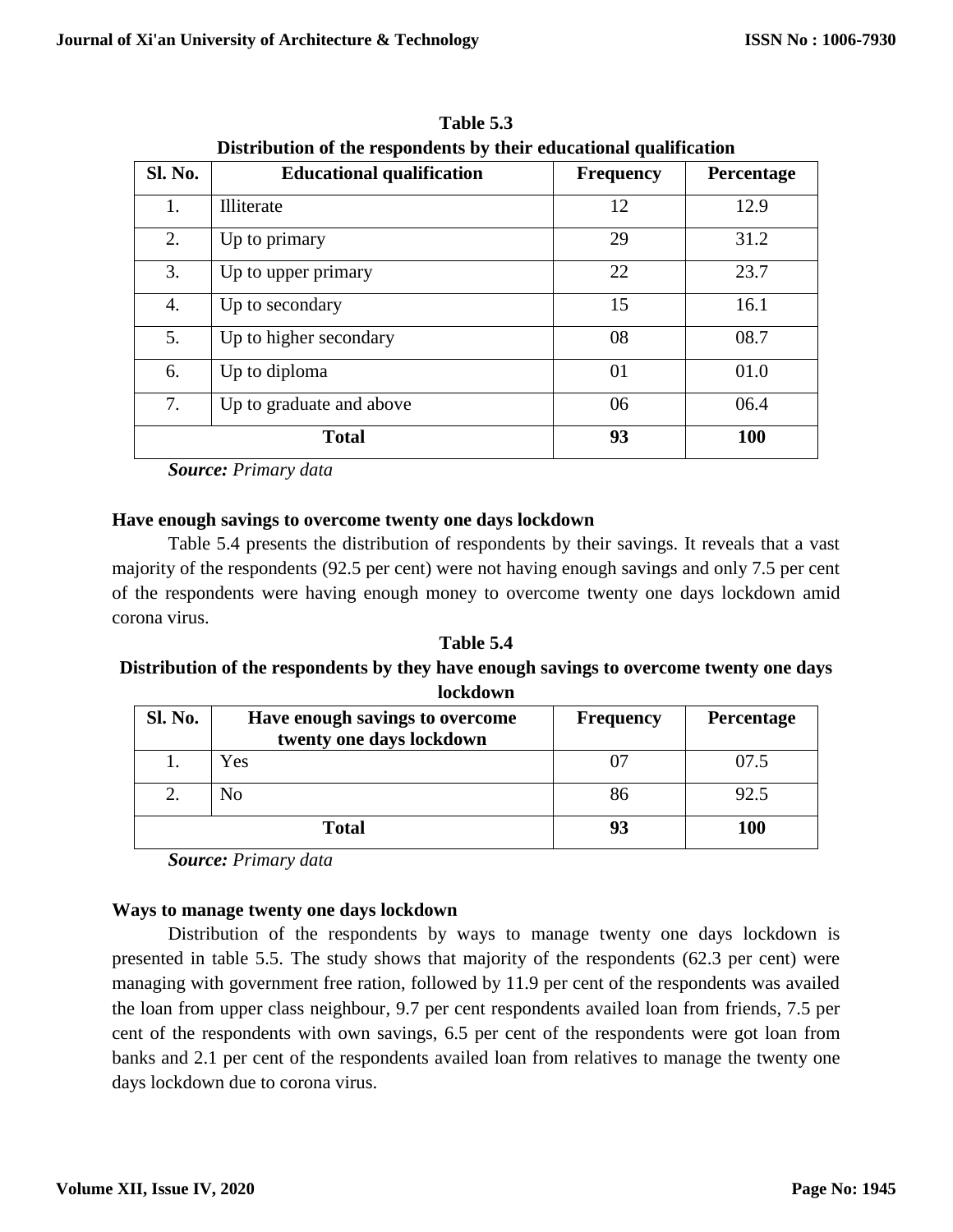| Sl. No. | <b>Educational qualification</b> | <b>Frequency</b> | Percentage |
|---------|----------------------------------|------------------|------------|
| 1.      | <b>Illiterate</b>                | 12               | 12.9       |
| 2.      | Up to primary                    | 29               | 31.2       |
| 3.      | Up to upper primary              | 22               | 23.7       |
| 4.      | Up to secondary                  | 15               | 16.1       |
| 5.      | Up to higher secondary           | 08               | 08.7       |
| 6.      | Up to diploma                    | 01               | 01.0       |
| 7.      | Up to graduate and above         | 06               | 06.4       |
|         | <b>Total</b>                     | 93               | <b>100</b> |

**Table 5.3 Distribution of the respondents by their educational qualification**

## **Have enough savings to overcome twenty one days lockdown**

Table 5.4 presents the distribution of respondents by their savings. It reveals that a vast majority of the respondents (92.5 per cent) were not having enough savings and only 7.5 per cent of the respondents were having enough money to overcome twenty one days lockdown amid corona virus.

**Table 5.4 Distribution of the respondents by they have enough savings to overcome twenty one days lockdown**

| <b>Sl. No.</b> | Have enough savings to overcome<br>twenty one days lockdown | <b>Frequency</b> | <b>Percentage</b> |
|----------------|-------------------------------------------------------------|------------------|-------------------|
|                | Yes                                                         |                  | 07.5              |
|                | No                                                          | 86               | 92.5              |
|                | <b>Total</b>                                                |                  | 100               |

*Source: Primary data*

## **Ways to manage twenty one days lockdown**

Distribution of the respondents by ways to manage twenty one days lockdown is presented in table 5.5. The study shows that majority of the respondents (62.3 per cent) were managing with government free ration, followed by 11.9 per cent of the respondents was availed the loan from upper class neighbour, 9.7 per cent respondents availed loan from friends, 7.5 per cent of the respondents with own savings, 6.5 per cent of the respondents were got loan from banks and 2.1 per cent of the respondents availed loan from relatives to manage the twenty one days lockdown due to corona virus.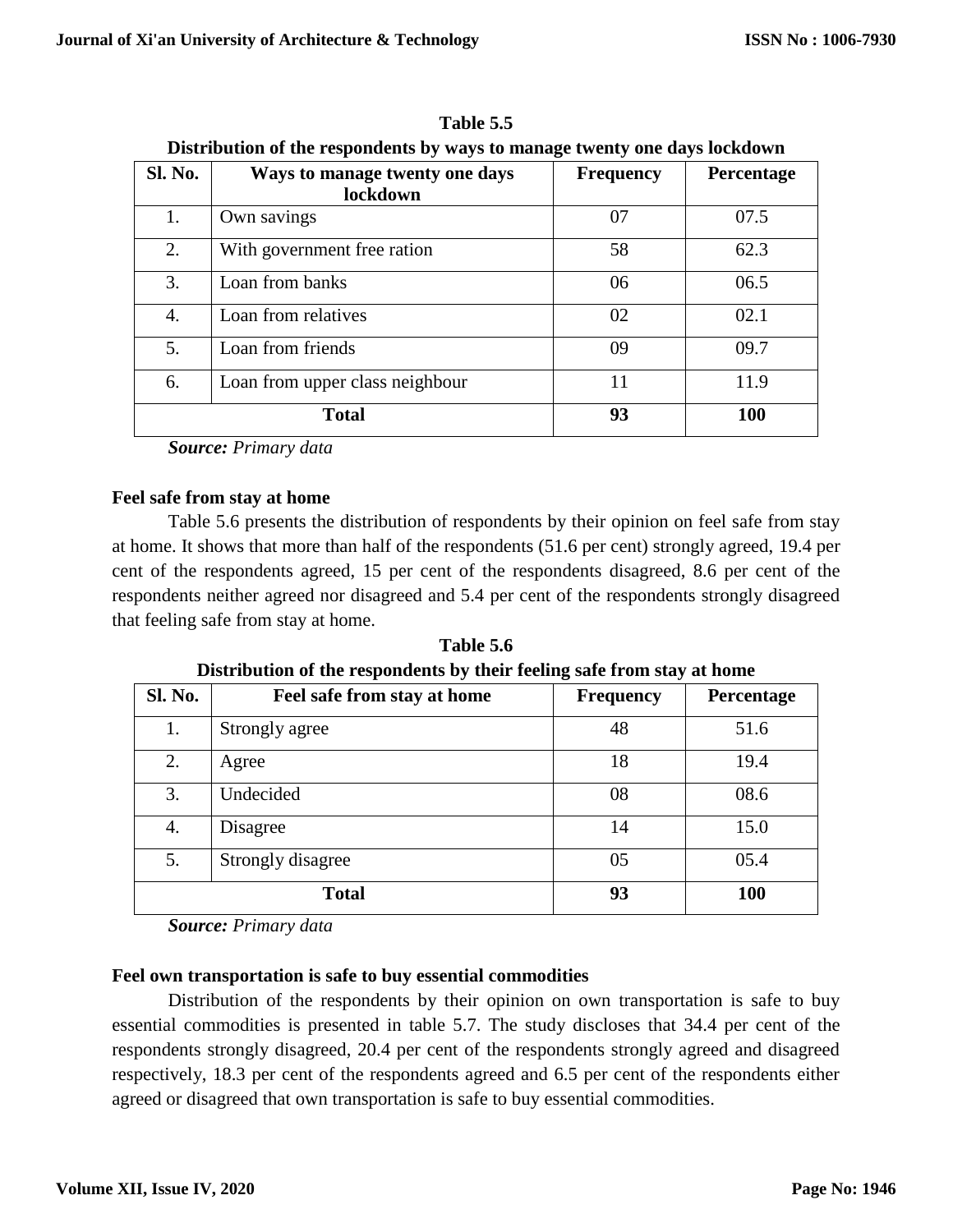| Sl. No. | Ways to manage twenty one days  | <b>Frequency</b> | Percentage |
|---------|---------------------------------|------------------|------------|
|         | lockdown                        |                  |            |
| 1.      | Own savings                     | 07               | 07.5       |
| 2.      | With government free ration     | 58               | 62.3       |
| 3.      | Loan from banks                 | 06               | 06.5       |
| 4.      | Loan from relatives             | 02               | 02.1       |
| 5.      | Loan from friends               | 09               | 09.7       |
| 6.      | Loan from upper class neighbour | 11               | 11.9       |
|         | <b>Total</b>                    | 93               | 100        |

**Table 5.5 Distribution of the respondents by ways to manage twenty one days lockdown**

## **Feel safe from stay at home**

Table 5.6 presents the distribution of respondents by their opinion on feel safe from stay at home. It shows that more than half of the respondents (51.6 per cent) strongly agreed, 19.4 per cent of the respondents agreed, 15 per cent of the respondents disagreed, 8.6 per cent of the respondents neither agreed nor disagreed and 5.4 per cent of the respondents strongly disagreed that feeling safe from stay at home.

**Table 5.6 Distribution of the respondents by their feeling safe from stay at home**

| <b>Sl. No.</b> | Feel safe from stay at home | <b>Frequency</b> | Percentage |
|----------------|-----------------------------|------------------|------------|
| 1.             | Strongly agree              | 48               | 51.6       |
| 2.             | Agree                       | 18               | 19.4       |
| 3.             | Undecided                   | 08               | 08.6       |
| 4.             | Disagree                    | 14               | 15.0       |
| 5.             | Strongly disagree           | 05               | 05.4       |
|                | <b>Total</b>                | 93               | <b>100</b> |

*Source: Primary data*

## **Feel own transportation is safe to buy essential commodities**

Distribution of the respondents by their opinion on own transportation is safe to buy essential commodities is presented in table 5.7. The study discloses that 34.4 per cent of the respondents strongly disagreed, 20.4 per cent of the respondents strongly agreed and disagreed respectively, 18.3 per cent of the respondents agreed and 6.5 per cent of the respondents either agreed or disagreed that own transportation is safe to buy essential commodities.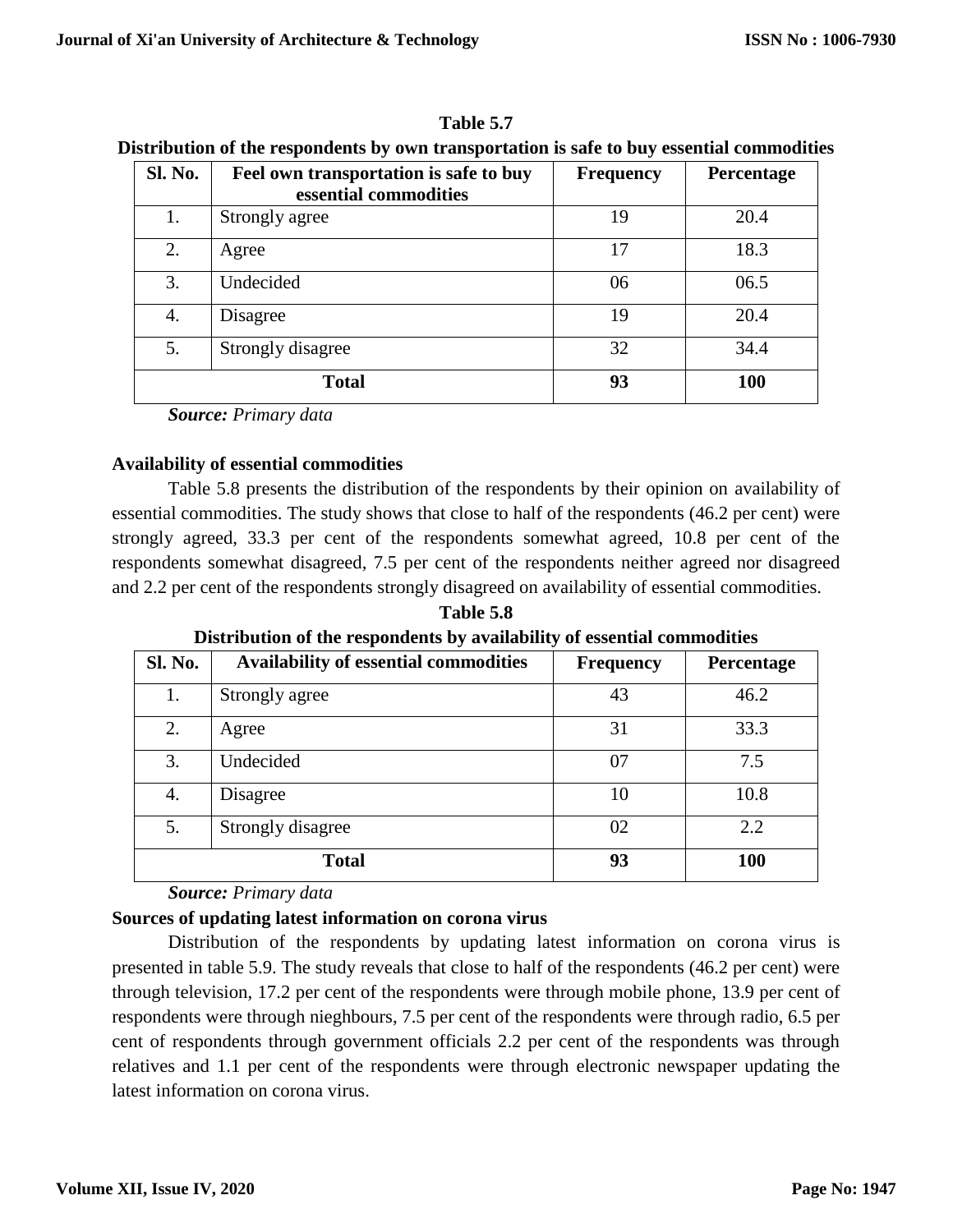| Sl. No. | Feel own transportation is safe to buy<br>essential commodities | Frequency | Percentage |
|---------|-----------------------------------------------------------------|-----------|------------|
| 1.      | Strongly agree                                                  | 19        | 20.4       |
| 2.      | Agree                                                           | 17        | 18.3       |
| 3.      | Undecided                                                       | 06        | 06.5       |
| 4.      | Disagree                                                        | 19        | 20.4       |
| 5.      | Strongly disagree                                               | 32        | 34.4       |
|         | <b>Total</b>                                                    | 93        | <b>100</b> |

**Table 5.7 Distribution of the respondents by own transportation is safe to buy essential commodities**

## **Availability of essential commodities**

Table 5.8 presents the distribution of the respondents by their opinion on availability of essential commodities. The study shows that close to half of the respondents (46.2 per cent) were strongly agreed, 33.3 per cent of the respondents somewhat agreed, 10.8 per cent of the respondents somewhat disagreed, 7.5 per cent of the respondents neither agreed nor disagreed and 2.2 per cent of the respondents strongly disagreed on availability of essential commodities.

**Table 5.8 Distribution of the respondents by availability of essential commodities**

|              | Distribution of the responsemes by avanuating or essential commitments |                  |            |  |
|--------------|------------------------------------------------------------------------|------------------|------------|--|
| Sl. No.      | <b>Availability of essential commodities</b>                           | <b>Frequency</b> | Percentage |  |
|              | Strongly agree                                                         | 43               | 46.2       |  |
| 2.           | Agree                                                                  | 31               | 33.3       |  |
| 3.           | Undecided                                                              | 07               | 7.5        |  |
| 4.           | Disagree                                                               | 10               | 10.8       |  |
| 5.           | Strongly disagree                                                      | 02               | 2.2        |  |
| <b>Total</b> |                                                                        | 93               | 100        |  |

*Source: Primary data*

## **Sources of updating latest information on corona virus**

Distribution of the respondents by updating latest information on corona virus is presented in table 5.9. The study reveals that close to half of the respondents (46.2 per cent) were through television, 17.2 per cent of the respondents were through mobile phone, 13.9 per cent of respondents were through nieghbours, 7.5 per cent of the respondents were through radio, 6.5 per cent of respondents through government officials 2.2 per cent of the respondents was through relatives and 1.1 per cent of the respondents were through electronic newspaper updating the latest information on corona virus.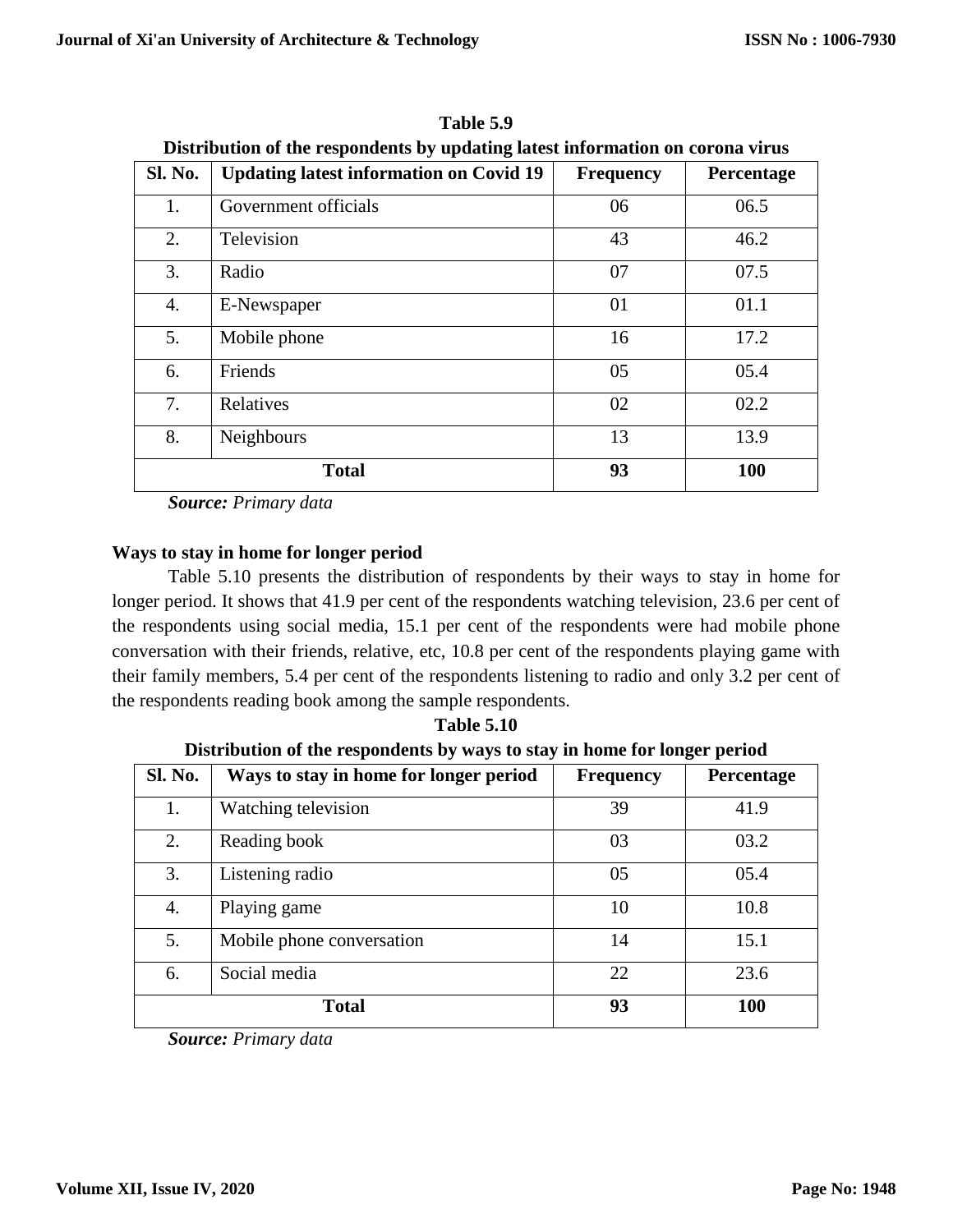| <b>Sl. No.</b> | <b>Updating latest information on Covid 19</b> | <b>Frequency</b> | <b>Percentage</b> |
|----------------|------------------------------------------------|------------------|-------------------|
| 1.             | Government officials                           | 06               | 06.5              |
| 2.             | Television                                     | 43               | 46.2              |
| 3.             | Radio                                          | 07               | 07.5              |
| 4.             | E-Newspaper                                    | 01               | 01.1              |
| 5.             | Mobile phone                                   | 16               | 17.2              |
| 6.             | Friends                                        | 05               | 05.4              |
| 7.             | Relatives                                      | 02               | 02.2              |
| 8.             | Neighbours                                     | 13               | 13.9              |
|                | <b>Total</b>                                   | 93               | 100               |

**Table 5.9 Distribution of the respondents by updating latest information on corona virus**

## **Ways to stay in home for longer period**

Table 5.10 presents the distribution of respondents by their ways to stay in home for longer period. It shows that 41.9 per cent of the respondents watching television, 23.6 per cent of the respondents using social media, 15.1 per cent of the respondents were had mobile phone conversation with their friends, relative, etc, 10.8 per cent of the respondents playing game with their family members, 5.4 per cent of the respondents listening to radio and only 3.2 per cent of the respondents reading book among the sample respondents.

**Table 5.10 Distribution of the respondents by ways to stay in home for longer period**

| <b>Sl. No.</b> | Ways to stay in home for longer period | <b>Frequency</b> | Percentage |
|----------------|----------------------------------------|------------------|------------|
| 1.             | Watching television                    | 39               | 41.9       |
| 2.             | Reading book                           | 03               | 03.2       |
| 3.             | Listening radio                        | 05               | 05.4       |
| 4.             | Playing game                           | 10               | 10.8       |
| 5.             | Mobile phone conversation              | 14               | 15.1       |
| 6.             | Social media                           | 22               | 23.6       |
|                | <b>Total</b>                           | 93               | 100        |

*Source: Primary data*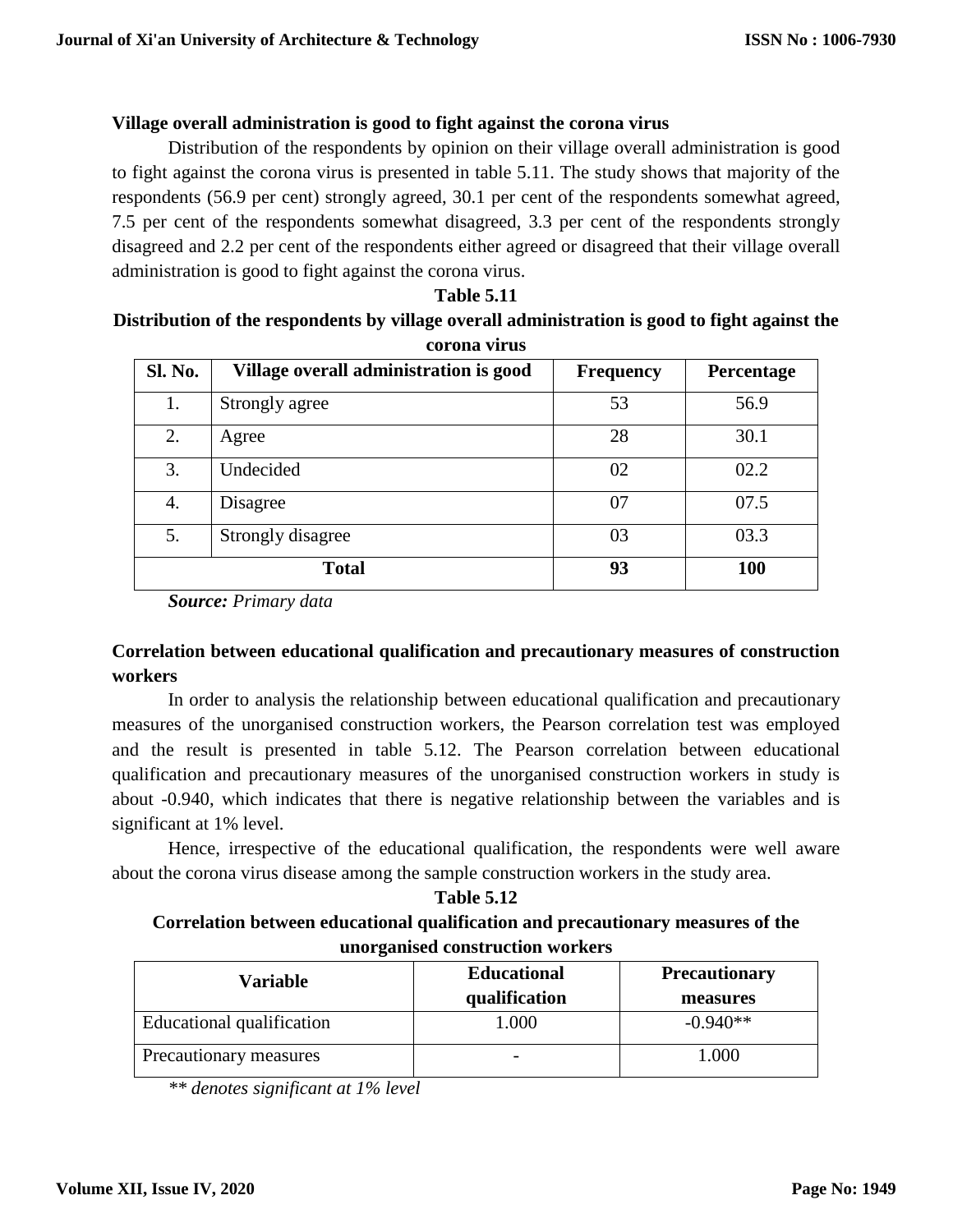## **Village overall administration is good to fight against the corona virus**

Distribution of the respondents by opinion on their village overall administration is good to fight against the corona virus is presented in table 5.11. The study shows that majority of the respondents (56.9 per cent) strongly agreed, 30.1 per cent of the respondents somewhat agreed, 7.5 per cent of the respondents somewhat disagreed, 3.3 per cent of the respondents strongly disagreed and 2.2 per cent of the respondents either agreed or disagreed that their village overall administration is good to fight against the corona virus.

**Table 5.11**

# **Distribution of the respondents by village overall administration is good to fight against the corona virus Sl. No. Village overall administration is good Frequency Percentage** 1. Strongly agree 53 56.9

| <b>Sl. No.</b> | Village overall administration is good | <b>Frequency</b> | <b>Percentage</b> |
|----------------|----------------------------------------|------------------|-------------------|
| 1.             | Strongly agree                         | 53               | 56.9              |
| 2.             | Agree                                  | 28               | 30.1              |
| 3.             | Undecided                              | 02               | 02.2              |
| 4.             | Disagree                               | 07               | 07.5              |
| 5.             | Strongly disagree                      | 03               | 03.3              |
|                | <b>Total</b>                           | 93               | <b>100</b>        |

*Source: Primary data*

## **Correlation between educational qualification and precautionary measures of construction workers**

In order to analysis the relationship between educational qualification and precautionary measures of the unorganised construction workers, the Pearson correlation test was employed and the result is presented in table 5.12. The Pearson correlation between educational qualification and precautionary measures of the unorganised construction workers in study is about -0.940, which indicates that there is negative relationship between the variables and is significant at 1% level.

Hence, irrespective of the educational qualification, the respondents were well aware about the corona virus disease among the sample construction workers in the study area.

## **Table 5.12 Correlation between educational qualification and precautionary measures of the unorganised construction workers**

| Variable                  | <b>Educational</b><br>qualification | <b>Precautionary</b><br>measures |
|---------------------------|-------------------------------------|----------------------------------|
| Educational qualification | 1.000                               | $-0.940**$                       |
| Precautionary measures    |                                     | 1.000                            |

*\*\* denotes significant at 1% level*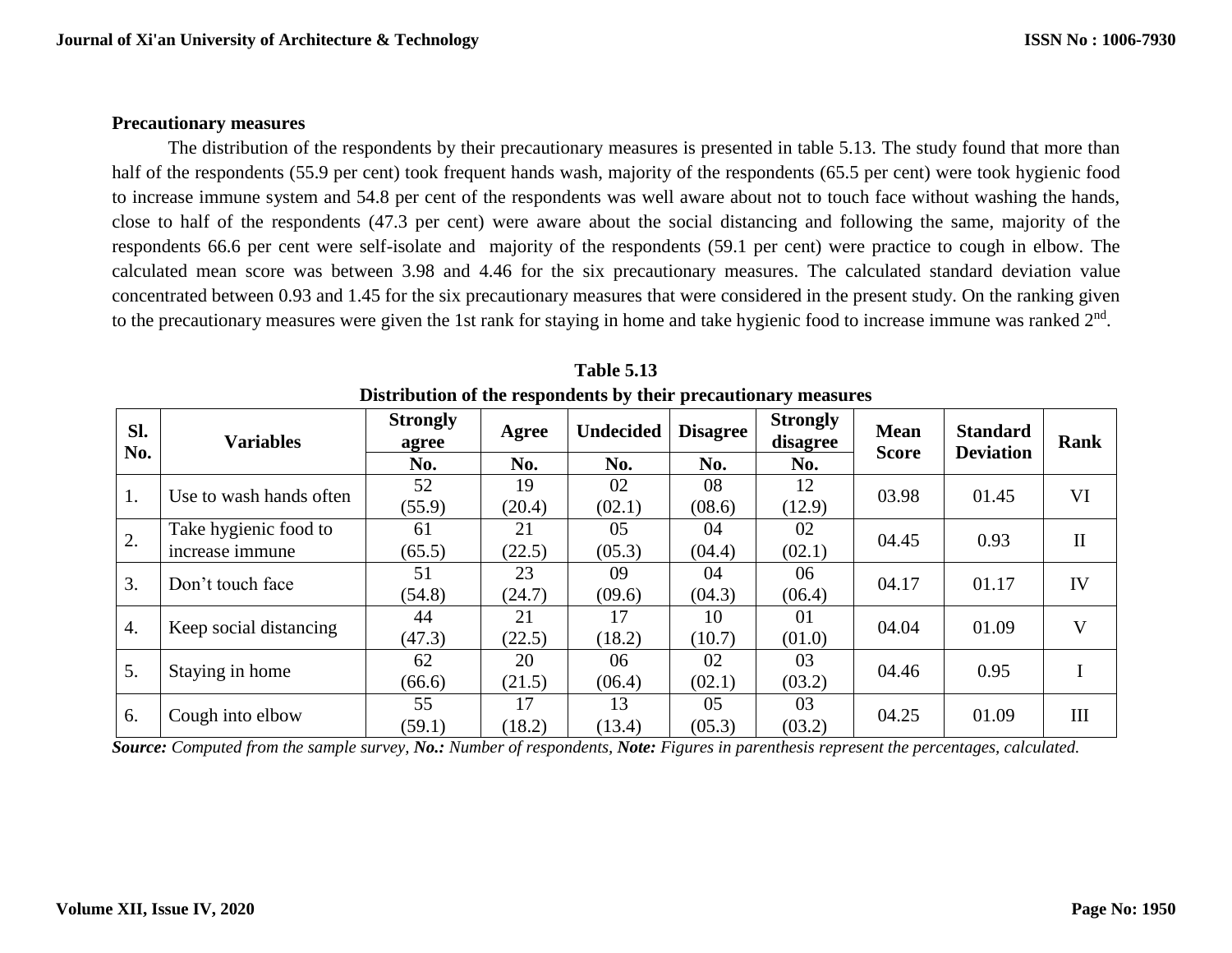#### **Precautionary measures**

The distribution of the respondents by their precautionary measures is presented in table 5.13. The study found that more than half of the respondents (55.9 per cent) took frequent hands wash, majority of the respondents (65.5 per cent) were took hygienic food to increase immune system and 54.8 per cent of the respondents was well aware about not to touch face without washing the hands, close to half of the respondents (47.3 per cent) were aware about the social distancing and following the same, majority of the respondents 66.6 per cent were self-isolate and majority of the respondents (59.1 per cent) were practice to cough in elbow. The calculated mean score was between 3.98 and 4.46 for the six precautionary measures. The calculated standard deviation value concentrated between 0.93 and 1.45 for the six precautionary measures that were considered in the present study. On the ranking given to the precautionary measures were given the 1st rank for staying in home and take hygienic food to increase immune was ranked  $2^{nd}$ .

| SI.<br>No. | <b>Variables</b>        | <b>Strongly</b><br>agree | Agree  | <b>Undecided</b> | <b>Disagree</b> | <b>Strongly</b><br>disagree | <b>Mean</b><br><b>Score</b> | <b>Standard</b><br><b>Deviation</b> | <b>Rank</b>  |
|------------|-------------------------|--------------------------|--------|------------------|-----------------|-----------------------------|-----------------------------|-------------------------------------|--------------|
|            |                         | No.                      | No.    | No.              | No.             | No.                         |                             |                                     |              |
| 1.         | Use to wash hands often | 52                       | 19     | 02               | 08              | 12                          | 03.98                       | 01.45                               | VI           |
|            |                         | (55.9)                   | (20.4) | (02.1)           | (08.6)          | (12.9)                      |                             |                                     |              |
| 2.         | Take hygienic food to   | 61                       | 21     | 05               | 04              | 02                          | 04.45                       | 0.93                                | $\mathbf{I}$ |
|            | increase immune         | (65.5)                   | (22.5) | (05.3)           | (04.4)          | (02.1)                      |                             |                                     |              |
| 3.         | Don't touch face        | 51                       | 23     | 09               | 04              | 06                          | 04.17                       | 01.17                               | IV           |
|            |                         | (54.8)                   | (24.7) | (09.6)           | (04.3)          | (06.4)                      |                             |                                     |              |
| 4.         | Keep social distancing  | 44                       | 21     | 17               | 10              | 01                          | 04.04                       | 01.09                               | V            |
|            |                         | (47.3)                   | (22.5) | (18.2)           | (10.7)          | (01.0)                      |                             |                                     |              |
| 5.         | Staying in home         | 62                       | 20     | 06               | 02              | 03                          | 04.46                       | 0.95                                |              |
|            |                         | (66.6)                   | (21.5) | (06.4)           | (02.1)          | (03.2)                      |                             |                                     |              |
| 6.         | Cough into elbow        | 55                       | 17     | 13               | 05              | 03                          | 04.25                       | 01.09                               | III          |
|            |                         | (59.1)                   | (18.2) | (13.4)           | (05.3)          | (03.2)                      |                             |                                     |              |

**Table 5.13 Distribution of the respondents by their precautionary measures**

*Source: Computed from the sample survey, No.: Number of respondents, Note: Figures in parenthesis represent the percentages, calculated.*